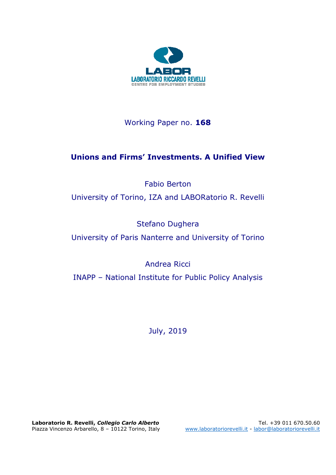

# Working Paper no. **168**

# **Unions and Firms' Investments. A Unified View**

Fabio Berton

University of Torino, IZA and LABORatorio R. Revelli

Stefano Dughera

University of Paris Nanterre and University of Torino

Andrea Ricci

INAPP – National Institute for Public Policy Analysis

July, 2019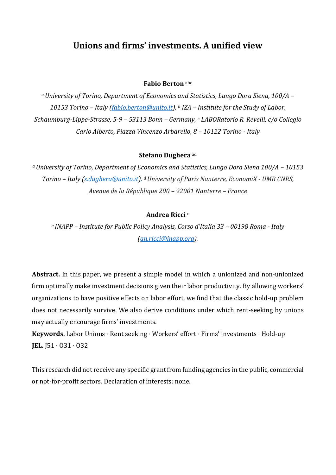# **Unions and firms' investments. A unified view**

#### **Fabio Berton** abc

*<sup>a</sup>University of Torino, Department of Economics and Statistics, Lungo Dora Siena, 100/A – 10153 Torino – Italy [\(fabio.berton@unito.it\)](mailto:fabio.berton@unito.it). <sup>b</sup> IZA – Institute for the Study of Labor, Schaumburg-Lippe-Strasse, 5-9 – 53113 Bonn – Germany, <sup>c</sup> LABORatorio R. Revelli, c/o Collegio Carlo Alberto, Piazza Vincenzo Arbarello, 8 – 10122 Torino - Italy*

#### **Stefano Dughera** ad

*<sup>a</sup>University of Torino, Department of Economics and Statistics, Lungo Dora Siena 100/A – 10153 Torino – Italy [\(s.dughera@unito.it\)](mailto:s.dughera@unito.it). dUniversity of Paris Nanterre, EconomiX - UMR CNRS, Avenue de la République 200 – 92001 Nanterre – France*

#### **Andrea Ricci** <sup>e</sup>

*e INAPP – Institute for Public Policy Analysis, Corso d'Italia 33 – 00198 Roma - Italy (an.ricci@inapp.org).* 

**Abstract.** In this paper, we present a simple model in which a unionized and non-unionized firm optimally make investment decisions given their labor productivity. By allowing workers' organizations to have positive effects on labor effort, we find that the classic hold-up problem does not necessarily survive. We also derive conditions under which rent-seeking by unions may actually encourage firms' investments.

**Keywords.** Labor Unions ⋅ Rent seeking ⋅ Workers' effort ⋅ Firms' investments ⋅ Hold-up **JEL.** J51 ⋅ O31 ⋅ O32

This research did not receive any specific grant from funding agencies in the public, commercial or not-for-profit sectors. Declaration of interests: none.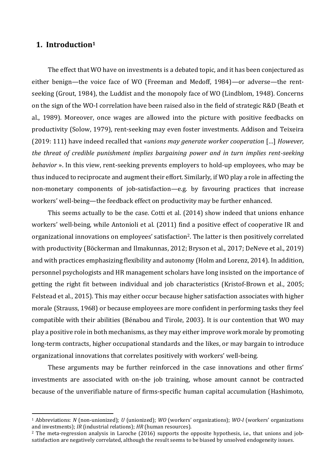## **1. Introduction<sup>1</sup>**

<u>.</u>

The effect that WO have on investments is a debated topic, and it has been conjectured as either benign—the voice face of WO (Freeman and Medoff, 1984)—or adverse—the rentseeking (Grout, 1984), the Luddist and the monopoly face of WO (Lindblom, 1948). Concerns on the sign of the WO-I correlation have been raised also in the field of strategic R&D (Beath et al., 1989). Moreover, once wages are allowed into the picture with positive feedbacks on productivity (Solow, 1979), rent-seeking may even foster investments. Addison and Teixeira (2019: 111) have indeed recalled that «*unions may generate worker cooperation* […] *However, the threat of credible punishment implies bargaining power and in turn implies rent-seeking behavior* ». In this view, rent-seeking prevents employers to hold-up employees, who may be thus induced to reciprocate and augment their effort. Similarly, if WO play a role in affecting the non-monetary components of job-satisfaction—e.g. by favouring practices that increase workers' well-being—the feedback effect on productivity may be further enhanced.

This seems actually to be the case. Cotti et al. (2014) show indeed that unions enhance workers' well-being, while Antonioli et al. (2011) find a positive effect of cooperative IR and organizational innovations on employees' satisfaction2. The latter is then positively correlated with productivity (Böckerman and Ilmakunnas, 2012; Bryson et al., 2017; DeNeve et al., 2019) and with practices emphasizing flexibility and autonomy (Holm and Lorenz, 2014). In addition, personnel psychologists and HR management scholars have long insisted on the importance of getting the right fit between individual and job characteristics (Kristof-Brown et al., 2005; Felstead et al., 2015). This may either occur because higher satisfaction associates with higher morale (Strauss, 1968) or because employees are more confident in performing tasks they feel compatible with their abilities (Bénabou and Tirole, 2003). It is our contention that WO may play a positive role in both mechanisms, as they may either improve work morale by promoting long-term contracts, higher occupational standards and the likes, or may bargain to introduce organizational innovations that correlates positively with workers' well-being.

These arguments may be further reinforced in the case innovations and other firms' investments are associated with on-the job training, whose amount cannot be contracted because of the unverifiable nature of firms-specific human capital accumulation (Hashimoto,

<sup>1</sup> Abbreviations: *N* (non-unionized); *U* (unionized); *WO* (workers' organizations); *WO-I* (workers' organizations and investments); *IR* (industrial relations); *HR* (human resources).

<sup>&</sup>lt;sup>2</sup> The meta-regression analysis in Laroche (2016) supports the opposite hypothesis, i.e., that unions and jobsatisfaction are negatively correlated, although the result seems to be biased by unsolved endogeneity issues.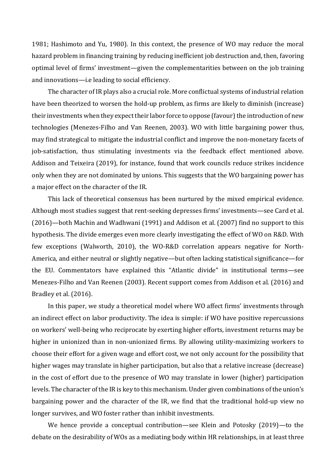1981; Hashimoto and Yu, 1980). In this context, the presence of WO may reduce the moral hazard problem in financing training by reducing inefficient job destruction and, then, favoring optimal level of firms' investment—given the complementarities between on the job training and innovations—i.e leading to social efficiency.

The character of IR plays also a crucial role. More conflictual systems of industrial relation have been theorized to worsen the hold-up problem, as firms are likely to diminish (increase) their investments when they expect their labor force to oppose (favour) the introduction of new technologies (Menezes-Filho and Van Reenen, 2003). WO with little bargaining power thus, may find strategical to mitigate the industrial conflict and improve the non-monetary facets of job-satisfaction, thus stimulating investments via the feedback effect mentioned above. Addison and Teixeira (2019), for instance, found that work councils reduce strikes incidence only when they are not dominated by unions. This suggests that the WO bargaining power has a major effect on the character of the IR.

This lack of theoretical consensus has been nurtured by the mixed empirical evidence. Although most studies suggest that rent-seeking depresses firms' investments—see Card et al. (2016)—both Machin and Wadhwani (1991) and Addison et al. (2007) find no support to this hypothesis. The divide emerges even more clearly investigating the effect of WO on R&D. With few exceptions (Walworth, 2010), the WO-R&D correlation appears negative for North-America, and either neutral or slightly negative—but often lacking statistical significance—for the EU. Commentators have explained this "Atlantic divide" in institutional terms—see Menezes-Filho and Van Reenen (2003). Recent support comes from Addison et al. (2016) and Bradley et al. (2016).

In this paper, we study a theoretical model where WO affect firms' investments through an indirect effect on labor productivity. The idea is simple: if WO have positive repercussions on workers' well-being who reciprocate by exerting higher efforts, investment returns may be higher in unionized than in non-unionized firms. By allowing utility-maximizing workers to choose their effort for a given wage and effort cost, we not only account for the possibility that higher wages may translate in higher participation, but also that a relative increase (decrease) in the cost of effort due to the presence of WO may translate in lower (higher) participation levels. The character of the IR is key to this mechanism. Under given combinations of the union's bargaining power and the character of the IR, we find that the traditional hold-up view no longer survives, and WO foster rather than inhibit investments.

We hence provide a conceptual contribution—see Klein and Potosky (2019)—to the debate on the desirability of WOs as a mediating body within HR relationships, in at least three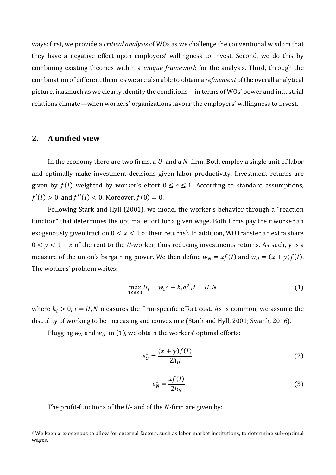ways: first, we provide a *critical analysis* of WOs as we challenge the conventional wisdom that they have a negative effect upon employers' willingness to invest. Second, we do this by combining existing theories within a *unique framework* for the analysis. Third, through the combination of different theories we are also able to obtain a *refinement* of the overall analytical picture, inasmuch as we clearly identify the conditions—in terms of WOs' power and industrial relations climate—when workers' organizations favour the employers' willingness to invest.

#### **2. A unified view**

<u>.</u>

In the economy there are two firms, a *U-* and a *N-* firm. Both employ a single unit of labor and optimally make investment decisions given labor productivity. Investment returns are given by  $f(I)$  weighted by worker's effort  $0 \le e \le 1$ . According to standard assumptions,  $f'(I) > 0$  and  $f''(I) < 0$ . Moreover,  $f(0) = 0$ .

Following Stark and Hyll (2001), we model the worker's behavior through a "reaction function" that determines the optimal effort for a given wage. Both firms pay their worker an exogenously given fraction  $0 < x < 1$  of their returns<sup>3</sup>. In addition, WO transfer an extra share  $0 \lt y \lt 1 - x$  of the rent to the *U*-worker, thus reducing investments returns. As such, y is a measure of the union's bargaining power. We then define  $w_N = xf(I)$  and  $w_U = (x + y)f(I)$ . The workers' problem writes:

$$
\max_{1 \le e \le 0} U_i = w_i e - h_i e^2, i = U, N
$$
 (1)

where  $h_i > 0$ ,  $i = U, N$  measures the firm-specific effort cost. As is common, we assume the disutility of working to be increasing and convex in  $e$  (Stark and Hyll, 2001; Swank, 2016).

Plugging  $w_N$  and  $w_U$  in (1), we obtain the workers' optimal efforts:

$$
e_U^* = \frac{(x+y)f(I)}{2h_U} \tag{2}
$$

$$
e_N^* = \frac{x f(I)}{2h_N} \tag{3}
$$

The profit-functions of the  $U$ - and of the  $N$ -firm are given by:

<sup>&</sup>lt;sup>3</sup> We keep  $x$  exogenous to allow for external factors, such as labor market institutions, to determine sub-optimal wages.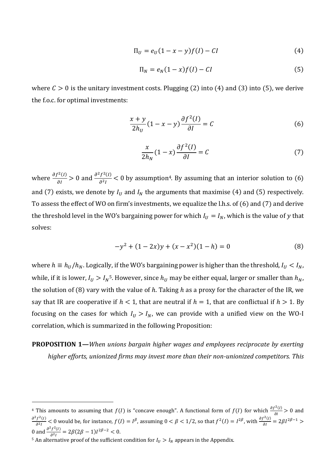$$
\Pi_U = e_U(1 - x - y)f(I) - CI \tag{4}
$$

$$
\Pi_N = e_N(1-x)f(I) - CI \tag{5}
$$

where  $C > 0$  is the unitary investment costs. Plugging (2) into (4) and (3) into (5), we derive the f.o.c. for optimal investments:

$$
\frac{x+y}{2h_U}(1-x-y)\frac{\partial f^2(I)}{\partial I} = C
$$
 (6)

$$
\frac{x}{2h_N}(1-x)\frac{\partial f^2(I)}{\partial I} = C\tag{7}
$$

where  $\frac{\partial f^2(I)}{\partial I} > 0$  and  $\frac{\partial^2 f^2(I)}{\partial^2 I}$  $\frac{1}{\partial^2 I}$  < 0 by assumption<sup>4</sup>. By assuming that an interior solution to (6) and (7) exists, we denote by  $I_U$  and  $I_N$  the arguments that maximise (4) and (5) respectively. To assess the effect of WO on firm's investments, we equalize the l.h.s. of (6) and (7) and derive the threshold level in the WO's bargaining power for which  $I_U = I_N$ , which is the value of y that solves:

$$
-y^2 + (1 - 2x)y + (x - x^2)(1 - h) = 0
$$
\n(8)

where  $h \equiv h_U/h_N$ . Logically, if the WO's bargaining power is higher than the threshold,  $I_U < I_N$ , while, if it is lower,  $I_U > I_N^5$ . However, since  $h_U$  may be either equal, larger or smaller than  $h_N$ , the solution of (8) vary with the value of h. Taking h as a proxy for the character of the IR, we say that IR are cooperative if  $h < 1$ , that are neutral if  $h = 1$ , that are conflictual if  $h > 1$ . By focusing on the cases for which  $I_U > I_N$ , we can provide with a unified view on the WO-I correlation, which is summarized in the following Proposition:

**PROPOSITION 1—***When unions bargain higher wages and employees reciprocate by exerting higher efforts, unionized firms may invest more than their non-unionized competitors. This* 

<u>.</u>

<sup>&</sup>lt;sup>4</sup> This amounts to assuming that  $f(I)$  is "concave enough". A functional form of  $f(I)$  for which  $\frac{\partial f^2(I)}{\partial I} > 0$  and  $\partial^2 f^2(I)$  $\frac{d^2 f^2(t)}{dt^2}$  < 0 would be, for instance,  $f(I) = I^{\beta}$ , assuming  $0 < \beta < 1/2$ , so that  $f^2(I) = I^{2\beta}$ , with  $\frac{\partial f^2(I)}{\partial I} = 2\beta I^{2\beta - 1} > 0$ 0 and  $\frac{\partial^2 f^2(I)}{\partial r^2}$  $\frac{f^{2}(I)}{\partial^{2}I} = 2\beta(2\beta - 1)I^{2\beta - 2} < 0.$ 

<sup>&</sup>lt;sup>5</sup> An alternative proof of the sufficient condition for  $I_U > I_N$  appears in the Appendix.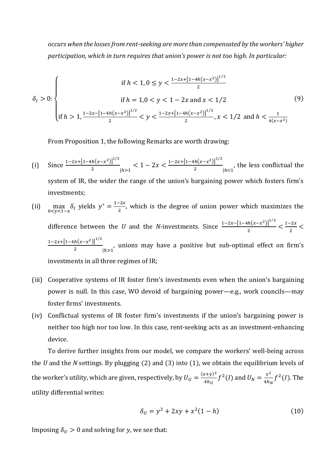*occurs when the losses from rent-seeking are more than compensated by the workers' higher participation, which in turn requires that union's power is not too high. In particular:*

$$
\delta_l > 0: \begin{cases} \text{if } h < 1, 0 \le y < \frac{1 - 2x + [1 - 4h(x - x^2)]^{1/2}}{2} \\ \text{if } h = 1, 0 < y < 1 - 2x \text{ and } x < 1/2 \\ \text{if } h > 1, \frac{1 - 2x - [1 - 4h(x - x^2)]^{1/2}}{2} < y < \frac{1 - 2x + [1 - 4h(x - x^2)]^{1/2}}{2}, x < 1/2 \text{ and } h < \frac{1}{4(x - x^2)} \end{cases} (9)
$$

From Proposition 1, the following Remarks are worth drawing:

- (i) Since  $\frac{1-2x+[1-4h(x-x^2)]^{1/2}}{2}$  $\frac{h(x-x^2)^{1/2}}{h} \geq 1 - 2x < \frac{1-2x+[1-4h(x-x^2)]^{1/2}}{2}$  $\frac{h(x-x)}{2}$   $\big| h < 1$ , the less conflictual the system of IR, the wider the range of the union's bargaining power which fosters firm's investments;
- (ii)  $\max_{0 \le y \le 1-x} \delta_i$  yields  $y^* = \frac{1-2x}{2}$  $\frac{2z}{2}$ , which is the degree of union power which maximizes the difference between the *U* and the *N*-investments. Since  $\frac{1-2x-[1-4h(x-x^2)]^{1/2}}{2}$  $\frac{|h(x-x^2)|^{1/2}}{2} < \frac{1-2x}{2}$  $\frac{2\lambda}{2}$  <  $1-2x+[1-4h(x-x^2)]^{1/2}$  $\frac{h(x-x)}{2}$   $\Big|_{h>1}$ , unions may have a positive but sub-optimal effect on firm's investments in all three regimes of IR;
- (iii) Cooperative systems of IR foster firm's investments even when the union's bargaining power is null. In this case, WO devoid of bargaining power—e.g., work councils—may foster firms' investments.
- (iv) Conflictual systems of IR foster firm's investments if the union's bargaining power is neither too high nor too low*.* In this case, rent-seeking acts as an investment-enhancing device.

To derive further insights from our model, we compare the workers' well-being across the *U* and the *N* settings. By plugging (2) and (3) into (1), we obtain the equilibrium levels of the worker's utility, which are given, respectively, by  $U_U = \frac{(x+y)^2}{4h_U}$  $\frac{(x+y)^2}{4h_U}f^2(I)$  and  $U_N = \frac{x^2}{4h_U}$  $\frac{x^2}{4h_N}f^2(I)$ . The utility differential writes:

$$
\delta_U = y^2 + 2xy + x^2(1 - h) \tag{10}
$$

Imposing  $\delta_U > 0$  and solving for y, we see that: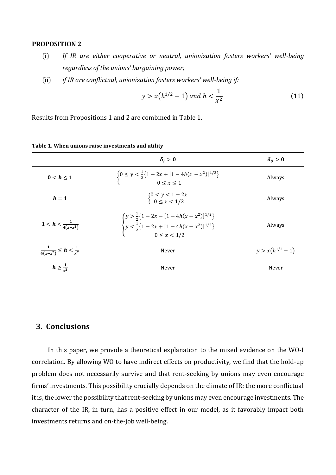#### **PROPOSITION 2**

- (i) *If IR are either cooperative or neutral, unionization fosters workers' well-being regardless of the unions' bargaining power;*
- (ii) *if IR are conflictual, unionization fosters workers' well-being if:*

$$
y > x(h^{1/2} - 1) \text{ and } h < \frac{1}{x^2} \tag{11}
$$

Results from Propositions 1 and 2 are combined in Table 1.

|                                             | $\delta_i > 0$                                                                                                                                            | $\delta_{II} > 0$    |
|---------------------------------------------|-----------------------------------------------------------------------------------------------------------------------------------------------------------|----------------------|
| $0 < h \leq 1$                              | $\left\{ \begin{array}{l} 0 \leq y < \frac{1}{2} \left\{ 1 - 2x + [1 - 4h(x - x^2)]^{1/2} \right\} \\ 0 < r < 1 \end{array} \right.$                      | Always               |
| $h=1$                                       | $\begin{cases} 0 < y < 1 - 2x \\ 0 < x < 1/2 \end{cases}$                                                                                                 | Always               |
| $1 < h < \frac{1}{4(x-x^2)}$                | $\begin{cases} y > \frac{1}{2} \{1 - 2x - [1 - 4h(x - x^2)]^{1/2}\} \\ y < \frac{1}{2} \{1 - 2x + [1 - 4h(x - x^2)]^{1/2}\} \\ 0 \le x < 1/2 \end{cases}$ | Always               |
| $\frac{1}{4(x-x^2)} \leq h < \frac{1}{x^2}$ | Never                                                                                                                                                     | $y > x(h^{1/2} - 1)$ |
| $h \geq \frac{1}{r^2}$                      | Never                                                                                                                                                     | Never                |

#### **Table 1. When unions raise investments and utility**

## **3. Conclusions**

In this paper, we provide a theoretical explanation to the mixed evidence on the WO-I correlation. By allowing WO to have indirect effects on productivity, we find that the hold-up problem does not necessarily survive and that rent-seeking by unions may even encourage firms' investments. This possibility crucially depends on the climate of IR: the more conflictual it is, the lower the possibility that rent-seeking by unions may even encourage investments. The character of the IR, in turn, has a positive effect in our model, as it favorably impact both investments returns and on-the-job well-being.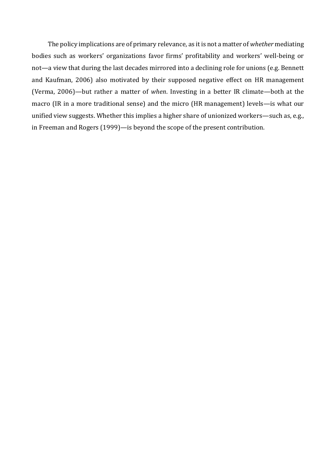The policy implications are of primary relevance, as it is not a matter of *whether* mediating bodies such as workers' organizations favor firms' profitability and workers' well-being or not—a view that during the last decades mirrored into a declining role for unions (e.g. Bennett and Kaufman, 2006) also motivated by their supposed negative effect on HR management (Verma, 2006)—but rather a matter of *when*. Investing in a better IR climate—both at the macro (IR in a more traditional sense) and the micro (HR management) levels—is what our unified view suggests. Whether this implies a higher share of unionized workers—such as, e.g., in Freeman and Rogers (1999)—is beyond the scope of the present contribution.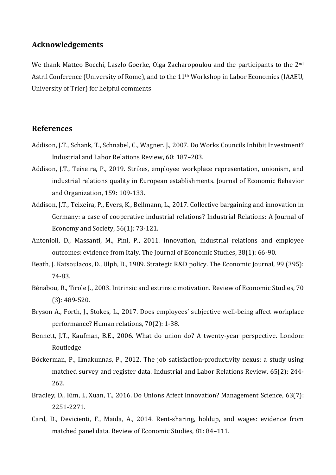## **Acknowledgements**

We thank Matteo Bocchi, Laszlo Goerke, Olga Zacharopoulou and the participants to the 2<sup>nd</sup> Astril Conference (University of Rome), and to the 11th Workshop in Labor Economics (IAAEU, University of Trier) for helpful comments

### **References**

- Addison, J.T., Schank, T., Schnabel, C., Wagner. J., 2007. Do Works Councils Inhibit Investment? Industrial and Labor Relations Review, 60: 187–203.
- Addison, J.T., Teixeira, P., 2019. Strikes, employee workplace representation, unionism, and industrial relations quality in European establishments. Journal of Economic Behavior and Organization, 159: 109-133.
- Addison, J.T., Teixeira, P., Evers, K., Bellmann, L., 2017. Collective bargaining and innovation in Germany: a case of cooperative industrial relations? Industrial Relations: A Journal of Economy and Society, 56(1): 73-121.
- Antonioli, D., Massanti, M., Pini, P., 2011. Innovation, industrial relations and employee outcomes: evidence from Italy. The Journal of Economic Studies, 38(1): 66-90.
- Beath, J. Katsoulacos, D., Ulph, D., 1989. Strategic R&D policy. The Economic Journal, 99 (395): 74-83.
- Bénabou, R., Tirole J., 2003. Intrinsic and extrinsic motivation. Review of Economic Studies, 70 (3): 489-520.
- Bryson A., Forth, J., Stokes, L., 2017. Does employees' subjective well-being affect workplace performance? Human relations, 70(2): 1-38.
- Bennett, J.T., Kaufman, B.E., 2006. What do union do? A twenty-year perspective. London: Routledge
- Böckerman, P., Ilmakunnas, P., 2012. The job satisfaction-productivity nexus: a study using matched survey and register data. Industrial and Labor Relations Review, 65(2): 244- 262.
- Bradley, D., Kim, I., Xuan, T., 2016. Do Unions Affect Innovation? Management Science, 63(7): 2251-2271.
- Card, D., Devicienti, F., Maida, A., 2014. Rent-sharing, holdup, and wages: evidence from matched panel data. Review of Economic Studies, 81: 84–111.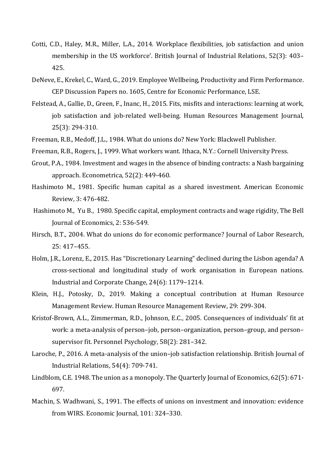- Cotti, C.D., Haley, M.R., Miller, L.A., 2014. Workplace flexibilities, job satisfaction and union membership in the US workforce'. British Journal of Industrial Relations, 52(3): 403– 425.
- DeNeve, E., Krekel, C., Ward, G., 2019. Employee Wellbeing, Productivity and Firm Performance. CEP Discussion Papers no. 1605, Centre for Economic Performance, LSE.
- Felstead, A., Gallie, D., Green, F., Inanc, H., 2015. Fits, misfits and interactions: learning at work, job satisfaction and job-related well-being. Human Resources Management Journal, 25(3): 294-310.
- Freeman, R.B., Medoff, J.L., 1984. What do unions do? New York: Blackwell Publisher.
- Freeman, R.B., Rogers, J., 1999. What workers want. Ithaca, N.Y.: Cornell University Press.
- Grout, P.A., 1984. Investment and wages in the absence of binding contracts: a Nash bargaining approach. Econometrica, 52(2): 449-460.
- Hashimoto M., 1981. Specific human capital as a shared investment. American Economic Review, 3: 476-482.
- Hashimoto M., Yu B., 1980. Specific capital, employment contracts and wage rigidity, The Bell Journal of Economics, 2: 536-549.
- Hirsch, B.T., 2004. What do unions do for economic performance? Journal of Labor Research, 25: 417–455.
- Holm, J.R., Lorenz, E., 2015. Has "Discretionary Learning" declined during the Lisbon agenda? A cross-sectional and longitudinal study of work organisation in European nations. Industrial and Corporate Change, 24(6): 1179–1214.
- Klein, H.J., Potosky, D., 2019. Making a conceptual contribution at Human Resource Management Review. Human Resource Management Review, 29: 299-304.
- Kristof-Brown, A.L., Zimmerman, R.D., Johnson, E.C., 2005. Consequences of individuals' fit at work: a meta-analysis of person–job, person–organization, person–group, and person– supervisor fit. Personnel Psychology, 58(2): 281–342.
- Laroche, P., 2016. A meta-analysis of the union–job satisfaction relationship. British Journal of Industrial Relations, 54(4): 709-741.
- Lindblom, C.E. 1948. The union as a monopoly. The Quarterly Journal of Economics, 62(5): 671- 697.
- Machin, S. Wadhwani, S., 1991. The effects of unions on investment and innovation: evidence from WIRS. Economic Journal, 101: 324-330.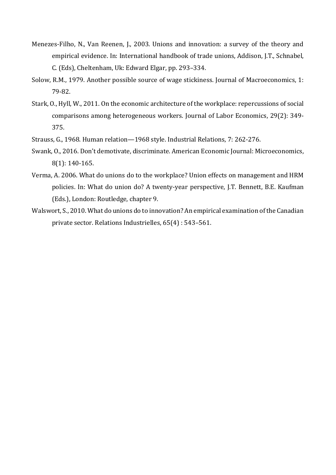- Menezes-Filho, N., Van Reenen, J., 2003. Unions and innovation: a survey of the theory and empirical evidence. In: International handbook of trade unions, Addison, J.T., Schnabel, C. (Eds), Cheltenham, Uk: Edward Elgar, pp. 293–334.
- Solow, R.M., 1979. Another possible source of wage stickiness. Journal of Macroeconomics, 1: 79-82.
- Stark, O., Hyll, W., 2011. On the economic architecture of the workplace: repercussions of social comparisons among heterogeneous workers. Journal of Labor Economics, 29(2): 349- 375.
- Strauss, G., 1968. Human relation—1968 style. Industrial Relations, 7: 262-276.
- Swank, O., 2016. Don't demotivate, discriminate. American Economic Journal: Microeconomics, 8(1): 140-165.
- Verma, A. 2006. What do unions do to the workplace? Union effects on management and HRM policies. In: What do union do? A twenty-year perspective, J.T. Bennett, B.E. Kaufman (Eds.), London: Routledge, chapter 9.
- Walswort, S., 2010. What do unions do to innovation? An empirical examination of the Canadian private sector. Relations Industrielles, 65(4) : 543–561.